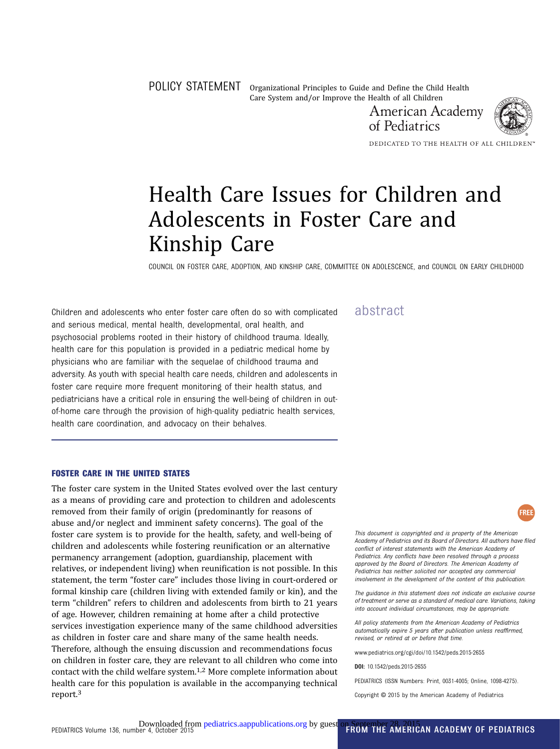POLICY STATEMENT Organizational Principles to Guide and Define the Child Health Care System and/or Improve the Health of all Children

**American Academy** of Pediatrics



DEDICATED TO THE HEALTH OF ALL CHILDREN"

## Health Care Issues for Children and Adolescents in Foster Care and Kinship Care

COUNCIL ON FOSTER CARE, ADOPTION, AND KINSHIP CARE, COMMITTEE ON ADOLESCENCE, and COUNCIL ON EARLY CHILDHOOD

Children and adolescents who enter foster care often do so with complicated  $a$  abstract and serious medical, mental health, developmental, oral health, and psychosocial problems rooted in their history of childhood trauma. Ideally, health care for this population is provided in a pediatric medical home by physicians who are familiar with the sequelae of childhood trauma and adversity. As youth with special health care needs, children and adolescents in foster care require more frequent monitoring of their health status, and pediatricians have a critical role in ensuring the well-being of children in outof-home care through the provision of high-quality pediatric health services, health care coordination, and advocacy on their behalves.

#### FOSTER CARE IN THE UNITED STATES

The foster care system in the United States evolved over the last century as a means of providing care and protection to children and adolescents removed from their family of origin (predominantly for reasons of abuse and/or neglect and imminent safety concerns). The goal of the foster care system is to provide for the health, safety, and well-being of children and adolescents while fostering reunification or an alternative permanency arrangement (adoption, guardianship, placement with relatives, or independent living) when reunification is not possible. In this statement, the term "foster care" includes those living in court-ordered or formal kinship care (children living with extended family or kin), and the term "children" refers to children and adolescents from birth to 21 years of age. However, children remaining at home after a child protective services investigation experience many of the same childhood adversities as children in foster care and share many of the same health needs. Therefore, although the ensuing discussion and recommendations focus on children in foster care, they are relevant to all children who come into contact with the child welfare system.1,2 More complete information about health care for this population is available in the accompanying technical report.3



This document is copyrighted and is property of the American Academy of Pediatrics and its Board of Directors. All authors have filed conflict of interest statements with the American Academy of Pediatrics. Any conflicts have been resolved through a process approved by the Board of Directors. The American Academy of Pediatrics has neither solicited nor accepted any commercial involvement in the development of the content of this publication.

The guidance in this statement does not indicate an exclusive course of treatment or serve as a standard of medical care. Variations, taking into account individual circumstances, may be appropriate.

All policy statements from the American Academy of Pediatrics automatically expire 5 years after publication unless reaffirmed, revised, or retired at or before that time.

www.pediatrics.org/cgi/doi/10.1542/peds.2015-2655

DOI: 10.1542/peds.2015-2655

PEDIATRICS (ISSN Numbers: Print, 0031-4005; Online, 1098-4275).

Copyright © 2015 by the American Academy of Pediatrics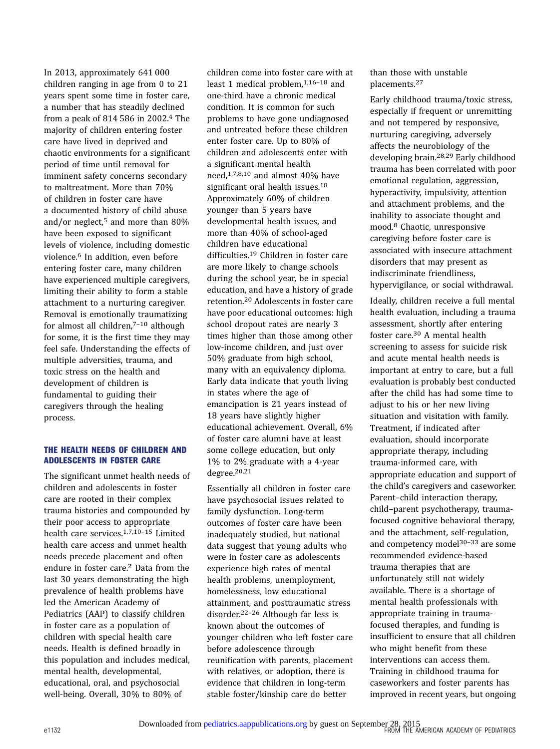In 2013, approximately 641 000 children ranging in age from 0 to 21 years spent some time in foster care, a number that has steadily declined from a peak of 814 586 in 2002.4 The majority of children entering foster care have lived in deprived and chaotic environments for a significant period of time until removal for imminent safety concerns secondary to maltreatment. More than 70% of children in foster care have a documented history of child abuse and/or neglect,5 and more than 80% have been exposed to significant levels of violence, including domestic violence.6 In addition, even before entering foster care, many children have experienced multiple caregivers, limiting their ability to form a stable attachment to a nurturing caregiver. Removal is emotionally traumatizing for almost all children,7–<sup>10</sup> although for some, it is the first time they may feel safe. Understanding the effects of multiple adversities, trauma, and toxic stress on the health and development of children is fundamental to guiding their caregivers through the healing process.

#### THE HEALTH NEEDS OF CHILDREN AND ADOLESCENTS IN FOSTER CARE

The significant unmet health needs of children and adolescents in foster care are rooted in their complex trauma histories and compounded by their poor access to appropriate health care services.1,7,10–<sup>15</sup> Limited health care access and unmet health needs precede placement and often endure in foster care.2 Data from the last 30 years demonstrating the high prevalence of health problems have led the American Academy of Pediatrics (AAP) to classify children in foster care as a population of children with special health care needs. Health is defined broadly in this population and includes medical, mental health, developmental, educational, oral, and psychosocial well-being. Overall, 30% to 80% of

children come into foster care with at least 1 medical problem,<sup>1,16-18</sup> and one-third have a chronic medical condition. It is common for such problems to have gone undiagnosed and untreated before these children enter foster care. Up to 80% of children and adolescents enter with a significant mental health need,1,7,8,10 and almost 40% have significant oral health issues.<sup>18</sup> Approximately 60% of children younger than 5 years have developmental health issues, and more than 40% of school-aged children have educational difficulties.<sup>19</sup> Children in foster care are more likely to change schools during the school year, be in special education, and have a history of grade retention.20 Adolescents in foster care have poor educational outcomes: high school dropout rates are nearly 3 times higher than those among other low-income children, and just over 50% graduate from high school, many with an equivalency diploma. Early data indicate that youth living in states where the age of emancipation is 21 years instead of 18 years have slightly higher educational achievement. Overall, 6% of foster care alumni have at least some college education, but only 1% to 2% graduate with a 4-year degree.20,21

Essentially all children in foster care have psychosocial issues related to family dysfunction. Long-term outcomes of foster care have been inadequately studied, but national data suggest that young adults who were in foster care as adolescents experience high rates of mental health problems, unemployment, homelessness, low educational attainment, and posttraumatic stress disorder.22–<sup>26</sup> Although far less is known about the outcomes of younger children who left foster care before adolescence through reunification with parents, placement with relatives, or adoption, there is evidence that children in long-term stable foster/kinship care do better

#### than those with unstable placements.27

Early childhood trauma/toxic stress, especially if frequent or unremitting and not tempered by responsive, nurturing caregiving, adversely affects the neurobiology of the developing brain.28,29 Early childhood trauma has been correlated with poor emotional regulation, aggression, hyperactivity, impulsivity, attention and attachment problems, and the inability to associate thought and mood.8 Chaotic, unresponsive caregiving before foster care is associated with insecure attachment disorders that may present as indiscriminate friendliness, hypervigilance, or social withdrawal.

Ideally, children receive a full mental health evaluation, including a trauma assessment, shortly after entering foster care.30 A mental health screening to assess for suicide risk and acute mental health needs is important at entry to care, but a full evaluation is probably best conducted after the child has had some time to adjust to his or her new living situation and visitation with family. Treatment, if indicated after evaluation, should incorporate appropriate therapy, including trauma-informed care, with appropriate education and support of the child's caregivers and caseworker. Parent–child interaction therapy, child–parent psychotherapy, traumafocused cognitive behavioral therapy, and the attachment, self-regulation, and competency model<sup>30-33</sup> are some recommended evidence-based trauma therapies that are unfortunately still not widely available. There is a shortage of mental health professionals with appropriate training in traumafocused therapies, and funding is insufficient to ensure that all children who might benefit from these interventions can access them. Training in childhood trauma for caseworkers and foster parents has improved in recent years, but ongoing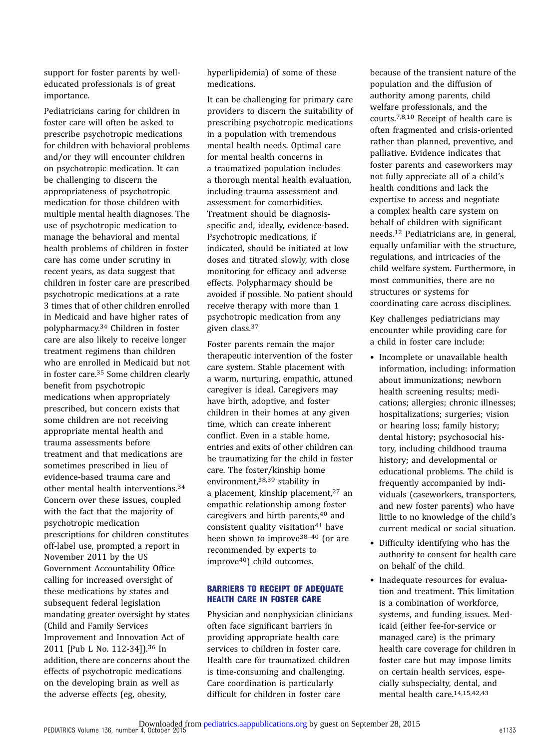support for foster parents by welleducated professionals is of great importance.

Pediatricians caring for children in foster care will often be asked to prescribe psychotropic medications for children with behavioral problems and/or they will encounter children on psychotropic medication. It can be challenging to discern the appropriateness of psychotropic medication for those children with multiple mental health diagnoses. The use of psychotropic medication to manage the behavioral and mental health problems of children in foster care has come under scrutiny in recent years, as data suggest that children in foster care are prescribed psychotropic medications at a rate 3 times that of other children enrolled in Medicaid and have higher rates of polypharmacy.34 Children in foster care are also likely to receive longer treatment regimens than children who are enrolled in Medicaid but not in foster care.35 Some children clearly benefit from psychotropic medications when appropriately prescribed, but concern exists that some children are not receiving appropriate mental health and trauma assessments before treatment and that medications are sometimes prescribed in lieu of evidence-based trauma care and other mental health interventions.34 Concern over these issues, coupled with the fact that the majority of psychotropic medication prescriptions for children constitutes off-label use, prompted a report in November 2011 by the US Government Accountability Office calling for increased oversight of these medications by states and subsequent federal legislation mandating greater oversight by states (Child and Family Services Improvement and Innovation Act of 2011 [Pub L No. 112-34]).36 In addition, there are concerns about the effects of psychotropic medications on the developing brain as well as the adverse effects (eg, obesity,

hyperlipidemia) of some of these medications.

It can be challenging for primary care providers to discern the suitability of prescribing psychotropic medications in a population with tremendous mental health needs. Optimal care for mental health concerns in a traumatized population includes a thorough mental health evaluation, including trauma assessment and assessment for comorbidities. Treatment should be diagnosisspecific and, ideally, evidence-based. Psychotropic medications, if indicated, should be initiated at low doses and titrated slowly, with close monitoring for efficacy and adverse effects. Polypharmacy should be avoided if possible. No patient should receive therapy with more than 1 psychotropic medication from any given class.37

Foster parents remain the major therapeutic intervention of the foster care system. Stable placement with a warm, nurturing, empathic, attuned caregiver is ideal. Caregivers may have birth, adoptive, and foster children in their homes at any given time, which can create inherent conflict. Even in a stable home, entries and exits of other children can be traumatizing for the child in foster care. The foster/kinship home environment,38,39 stability in a placement, kinship placement,<sup>27</sup> an empathic relationship among foster caregivers and birth parents,<sup>40</sup> and consistent quality visitation $41$  have been shown to improve38–<sup>40</sup> (or are recommended by experts to improve40) child outcomes.

#### BARRIERS TO RECEIPT OF ADEQUATE HEALTH CARE IN FOSTER CARE

Physician and nonphysician clinicians often face significant barriers in providing appropriate health care services to children in foster care. Health care for traumatized children is time-consuming and challenging. Care coordination is particularly difficult for children in foster care

because of the transient nature of the population and the diffusion of authority among parents, child welfare professionals, and the courts.7,8,10 Receipt of health care is often fragmented and crisis-oriented rather than planned, preventive, and palliative. Evidence indicates that foster parents and caseworkers may not fully appreciate all of a child's health conditions and lack the expertise to access and negotiate a complex health care system on behalf of children with significant needs.12 Pediatricians are, in general, equally unfamiliar with the structure, regulations, and intricacies of the child welfare system. Furthermore, in most communities, there are no structures or systems for coordinating care across disciplines.

Key challenges pediatricians may encounter while providing care for a child in foster care include:

- Incomplete or unavailable health information, including: information about immunizations; newborn health screening results; medications; allergies; chronic illnesses; hospitalizations; surgeries; vision or hearing loss; family history; dental history; psychosocial history, including childhood trauma history; and developmental or educational problems. The child is frequently accompanied by individuals (caseworkers, transporters, and new foster parents) who have little to no knowledge of the child's current medical or social situation.
- Difficulty identifying who has the authority to consent for health care on behalf of the child.
- Inadequate resources for evaluation and treatment. This limitation is a combination of workforce, systems, and funding issues. Medicaid (either fee-for-service or managed care) is the primary health care coverage for children in foster care but may impose limits on certain health services, especially subspecialty, dental, and mental health care.14,15,42,43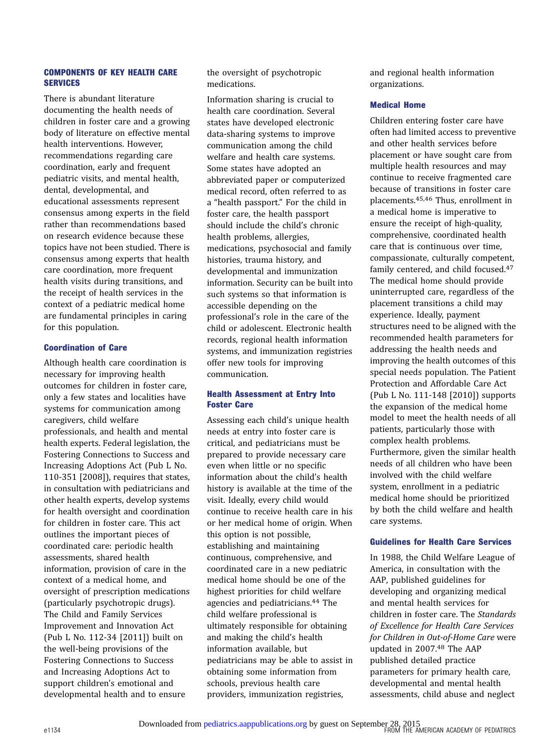#### COMPONENTS OF KEY HEALTH CARE **SERVICES**

There is abundant literature documenting the health needs of children in foster care and a growing body of literature on effective mental health interventions. However, recommendations regarding care coordination, early and frequent pediatric visits, and mental health, dental, developmental, and educational assessments represent consensus among experts in the field rather than recommendations based on research evidence because these topics have not been studied. There is consensus among experts that health care coordination, more frequent health visits during transitions, and the receipt of health services in the context of a pediatric medical home are fundamental principles in caring for this population.

#### Coordination of Care

Although health care coordination is necessary for improving health outcomes for children in foster care, only a few states and localities have systems for communication among caregivers, child welfare professionals, and health and mental health experts. Federal legislation, the Fostering Connections to Success and Increasing Adoptions Act (Pub L No. 110-351 [2008]), requires that states, in consultation with pediatricians and other health experts, develop systems for health oversight and coordination for children in foster care. This act outlines the important pieces of coordinated care: periodic health assessments, shared health information, provision of care in the context of a medical home, and oversight of prescription medications (particularly psychotropic drugs). The Child and Family Services Improvement and Innovation Act (Pub L No. 112-34 [2011]) built on the well-being provisions of the Fostering Connections to Success and Increasing Adoptions Act to support children's emotional and developmental health and to ensure

the oversight of psychotropic medications.

Information sharing is crucial to health care coordination. Several states have developed electronic data-sharing systems to improve communication among the child welfare and health care systems. Some states have adopted an abbreviated paper or computerized medical record, often referred to as a "health passport." For the child in foster care, the health passport should include the child's chronic health problems, allergies, medications, psychosocial and family histories, trauma history, and developmental and immunization information. Security can be built into such systems so that information is accessible depending on the professional's role in the care of the child or adolescent. Electronic health records, regional health information systems, and immunization registries offer new tools for improving communication.

#### Health Assessment at Entry Into Foster Care

Assessing each child's unique health needs at entry into foster care is critical, and pediatricians must be prepared to provide necessary care even when little or no specific information about the child's health history is available at the time of the visit. Ideally, every child would continue to receive health care in his or her medical home of origin. When this option is not possible, establishing and maintaining continuous, comprehensive, and coordinated care in a new pediatric medical home should be one of the highest priorities for child welfare agencies and pediatricians.44 The child welfare professional is ultimately responsible for obtaining and making the child's health information available, but pediatricians may be able to assist in obtaining some information from schools, previous health care providers, immunization registries,

and regional health information organizations.

#### Medical Home

Children entering foster care have often had limited access to preventive and other health services before placement or have sought care from multiple health resources and may continue to receive fragmented care because of transitions in foster care placements.45,46 Thus, enrollment in a medical home is imperative to ensure the receipt of high-quality, comprehensive, coordinated health care that is continuous over time, compassionate, culturally competent, family centered, and child focused.47 The medical home should provide uninterrupted care, regardless of the placement transitions a child may experience. Ideally, payment structures need to be aligned with the recommended health parameters for addressing the health needs and improving the health outcomes of this special needs population. The Patient Protection and Affordable Care Act (Pub L No. 111-148 [2010]) supports the expansion of the medical home model to meet the health needs of all patients, particularly those with complex health problems. Furthermore, given the similar health needs of all children who have been involved with the child welfare system, enrollment in a pediatric medical home should be prioritized by both the child welfare and health care systems.

#### Guidelines for Health Care Services

In 1988, the Child Welfare League of America, in consultation with the AAP, published guidelines for developing and organizing medical and mental health services for children in foster care. The Standards of Excellence for Health Care Services for Children in Out-of-Home Care were updated in 2007.48 The AAP published detailed practice parameters for primary health care, developmental and mental health assessments, child abuse and neglect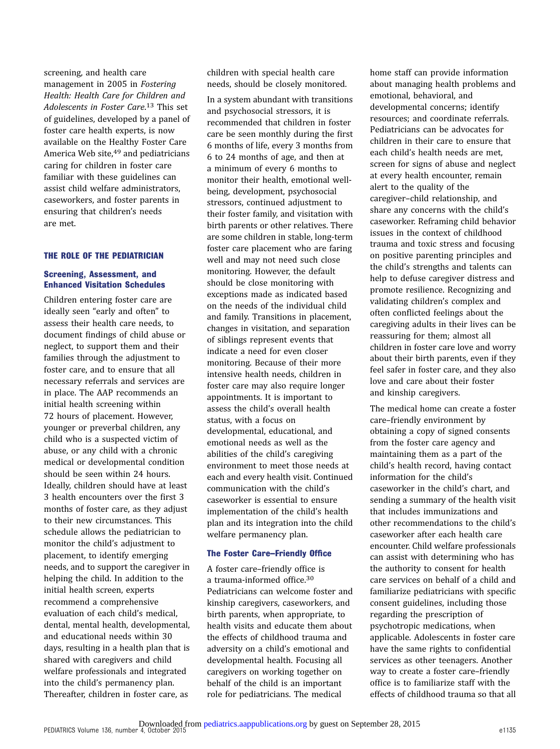screening, and health care management in 2005 in Fostering Health: Health Care for Children and Adolescents in Foster Care.<sup>13</sup> This set of guidelines, developed by a panel of foster care health experts, is now available on the Healthy Foster Care America Web site,<sup>49</sup> and pediatricians caring for children in foster care familiar with these guidelines can assist child welfare administrators, caseworkers, and foster parents in ensuring that children's needs are met.

#### THE ROLE OF THE PEDIATRICIAN

#### Screening, Assessment, and Enhanced Visitation Schedules

Children entering foster care are ideally seen "early and often" to assess their health care needs, to document findings of child abuse or neglect, to support them and their families through the adjustment to foster care, and to ensure that all necessary referrals and services are in place. The AAP recommends an initial health screening within 72 hours of placement. However, younger or preverbal children, any child who is a suspected victim of abuse, or any child with a chronic medical or developmental condition should be seen within 24 hours. Ideally, children should have at least 3 health encounters over the first 3 months of foster care, as they adjust to their new circumstances. This schedule allows the pediatrician to monitor the child's adjustment to placement, to identify emerging needs, and to support the caregiver in helping the child. In addition to the initial health screen, experts recommend a comprehensive evaluation of each child's medical, dental, mental health, developmental, and educational needs within 30 days, resulting in a health plan that is shared with caregivers and child welfare professionals and integrated into the child's permanency plan. Thereafter, children in foster care, as

children with special health care needs, should be closely monitored.

In a system abundant with transitions and psychosocial stressors, it is recommended that children in foster care be seen monthly during the first 6 months of life, every 3 months from 6 to 24 months of age, and then at a minimum of every 6 months to monitor their health, emotional wellbeing, development, psychosocial stressors, continued adjustment to their foster family, and visitation with birth parents or other relatives. There are some children in stable, long-term foster care placement who are faring well and may not need such close monitoring. However, the default should be close monitoring with exceptions made as indicated based on the needs of the individual child and family. Transitions in placement, changes in visitation, and separation of siblings represent events that indicate a need for even closer monitoring. Because of their more intensive health needs, children in foster care may also require longer appointments. It is important to assess the child's overall health status, with a focus on developmental, educational, and emotional needs as well as the abilities of the child's caregiving environment to meet those needs at each and every health visit. Continued communication with the child's caseworker is essential to ensure implementation of the child's health plan and its integration into the child welfare permanency plan.

#### The Foster Care–Friendly Office

A foster care–friendly office is a trauma-informed office.30 Pediatricians can welcome foster and kinship caregivers, caseworkers, and birth parents, when appropriate, to health visits and educate them about the effects of childhood trauma and adversity on a child's emotional and developmental health. Focusing all caregivers on working together on behalf of the child is an important role for pediatricians. The medical

home staff can provide information about managing health problems and emotional, behavioral, and developmental concerns; identify resources; and coordinate referrals. Pediatricians can be advocates for children in their care to ensure that each child's health needs are met, screen for signs of abuse and neglect at every health encounter, remain alert to the quality of the caregiver–child relationship, and share any concerns with the child's caseworker. Reframing child behavior issues in the context of childhood trauma and toxic stress and focusing on positive parenting principles and the child's strengths and talents can help to defuse caregiver distress and promote resilience. Recognizing and validating children's complex and often conflicted feelings about the caregiving adults in their lives can be reassuring for them; almost all children in foster care love and worry about their birth parents, even if they feel safer in foster care, and they also love and care about their foster and kinship caregivers.

The medical home can create a foster care–friendly environment by obtaining a copy of signed consents from the foster care agency and maintaining them as a part of the child's health record, having contact information for the child's caseworker in the child's chart, and sending a summary of the health visit that includes immunizations and other recommendations to the child's caseworker after each health care encounter. Child welfare professionals can assist with determining who has the authority to consent for health care services on behalf of a child and familiarize pediatricians with specific consent guidelines, including those regarding the prescription of psychotropic medications, when applicable. Adolescents in foster care have the same rights to confidential services as other teenagers. Another way to create a foster care–friendly office is to familiarize staff with the effects of childhood trauma so that all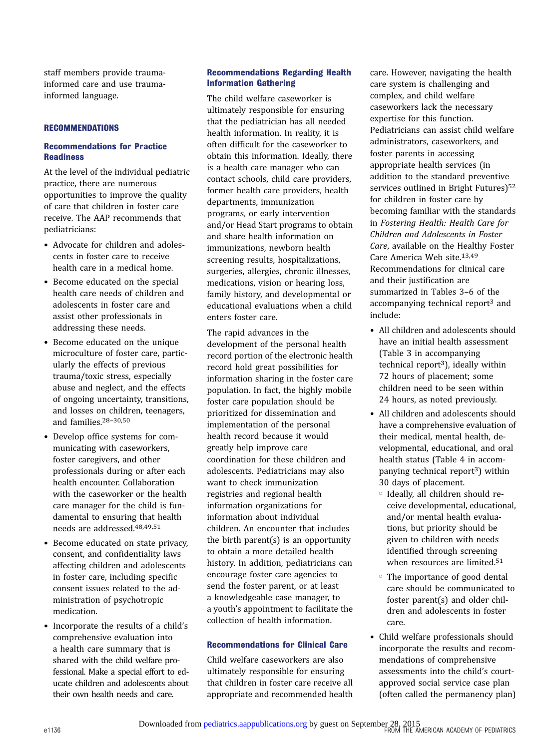staff members provide traumainformed care and use traumainformed language.

#### **RECOMMENDATIONS**

#### Recommendations for Practice **Readiness**

At the level of the individual pediatric practice, there are numerous opportunities to improve the quality of care that children in foster care receive. The AAP recommends that pediatricians:

- Advocate for children and adolescents in foster care to receive health care in a medical home.
- Become educated on the special health care needs of children and adolescents in foster care and assist other professionals in addressing these needs.
- Become educated on the unique microculture of foster care, particularly the effects of previous trauma/toxic stress, especially abuse and neglect, and the effects of ongoing uncertainty, transitions, and losses on children, teenagers, and families.28–30,50
- Develop office systems for communicating with caseworkers, foster caregivers, and other professionals during or after each health encounter. Collaboration with the caseworker or the health care manager for the child is fundamental to ensuring that health needs are addressed.48,49,51
- Become educated on state privacy, consent, and confidentiality laws affecting children and adolescents in foster care, including specific consent issues related to the administration of psychotropic medication.
- Incorporate the results of a child's comprehensive evaluation into a health care summary that is shared with the child welfare professional. Make a special effort to educate children and adolescents about their own health needs and care.

#### Recommendations Regarding Health Information Gathering

The child welfare caseworker is ultimately responsible for ensuring that the pediatrician has all needed health information. In reality, it is often difficult for the caseworker to obtain this information. Ideally, there is a health care manager who can contact schools, child care providers, former health care providers, health departments, immunization programs, or early intervention and/or Head Start programs to obtain and share health information on immunizations, newborn health screening results, hospitalizations, surgeries, allergies, chronic illnesses, medications, vision or hearing loss, family history, and developmental or educational evaluations when a child enters foster care.

The rapid advances in the development of the personal health record portion of the electronic health record hold great possibilities for information sharing in the foster care population. In fact, the highly mobile foster care population should be prioritized for dissemination and implementation of the personal health record because it would greatly help improve care coordination for these children and adolescents. Pediatricians may also want to check immunization registries and regional health information organizations for information about individual children. An encounter that includes the birth parent(s) is an opportunity to obtain a more detailed health history. In addition, pediatricians can encourage foster care agencies to send the foster parent, or at least a knowledgeable case manager, to a youth's appointment to facilitate the collection of health information.

#### Recommendations for Clinical Care

Child welfare caseworkers are also ultimately responsible for ensuring that children in foster care receive all appropriate and recommended health care. However, navigating the health care system is challenging and complex, and child welfare caseworkers lack the necessary expertise for this function. Pediatricians can assist child welfare administrators, caseworkers, and foster parents in accessing appropriate health services (in addition to the standard preventive services outlined in Bright Futures)<sup>52</sup> for children in foster care by becoming familiar with the standards in Fostering Health: Health Care for Children and Adolescents in Foster Care, available on the Healthy Foster Care America Web site.13,49 Recommendations for clinical care and their justification are summarized in Tables 3–6 of the accompanying technical report<sup>3</sup> and include:

- All children and adolescents should have an initial health assessment (Table 3 in accompanying technical report<sup>3</sup>), ideally within 72 hours of placement; some children need to be seen within 24 hours, as noted previously.
- All children and adolescents should have a comprehensive evaluation of their medical, mental health, developmental, educational, and oral health status (Table 4 in accompanying technical report<sup>3</sup>) within 30 days of placement.
	- <sup>o</sup> Ideally, all children should receive developmental, educational, and/or mental health evaluations, but priority should be given to children with needs identified through screening when resources are limited.<sup>51</sup>
	- $\circ$  The importance of good dental care should be communicated to foster parent(s) and older children and adolescents in foster care.
- Child welfare professionals should incorporate the results and recommendations of comprehensive assessments into the child's courtapproved social service case plan (often called the permanency plan)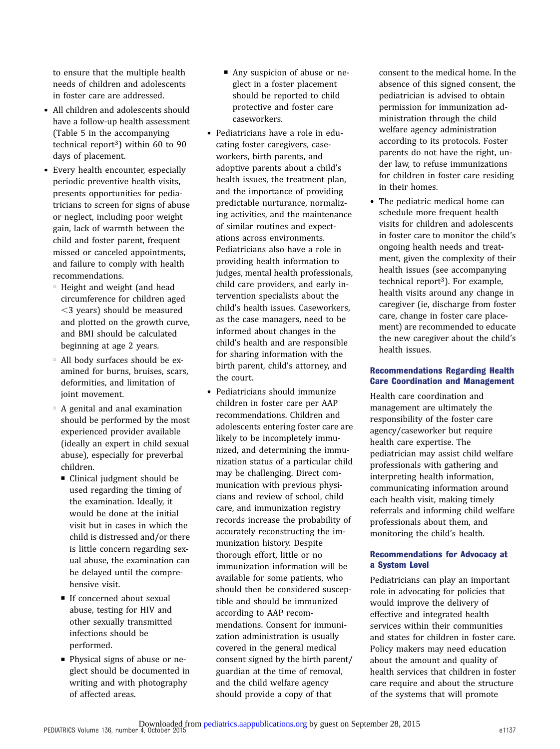to ensure that the multiple health needs of children and adolescents in foster care are addressed.

- All children and adolescents should have a follow-up health assessment (Table 5 in the accompanying technical report<sup>3</sup>) within 60 to 90 days of placement.
- Every health encounter, especially periodic preventive health visits, presents opportunities for pediatricians to screen for signs of abuse or neglect, including poor weight gain, lack of warmth between the child and foster parent, frequent missed or canceled appointments, and failure to comply with health recommendations.
	- <sup>o</sup> Height and weight (and head circumference for children aged  $<$ 3 years) should be measured and plotted on the growth curve, and BMI should be calculated beginning at age 2 years.
	- <sup>o</sup> All body surfaces should be examined for burns, bruises, scars, deformities, and limitation of joint movement.
	- $\circ$  A genital and anal examination should be performed by the most experienced provider available (ideally an expert in child sexual abuse), especially for preverbal children.
		- $\blacksquare$  Clinical judgment should be used regarding the timing of the examination. Ideally, it would be done at the initial visit but in cases in which the child is distressed and/or there is little concern regarding sexual abuse, the examination can be delayed until the comprehensive visit.
		- $\blacksquare$  If concerned about sexual abuse, testing for HIV and other sexually transmitted infections should be performed.
		- n Physical signs of abuse or neglect should be documented in writing and with photography of affected areas.
- Any suspicion of abuse or neglect in a foster placement should be reported to child protective and foster care caseworkers.
- Pediatricians have a role in educating foster caregivers, caseworkers, birth parents, and adoptive parents about a child's health issues, the treatment plan, and the importance of providing predictable nurturance, normalizing activities, and the maintenance of similar routines and expectations across environments. Pediatricians also have a role in providing health information to judges, mental health professionals, child care providers, and early intervention specialists about the child's health issues. Caseworkers, as the case managers, need to be informed about changes in the child's health and are responsible for sharing information with the birth parent, child's attorney, and the court.
- Pediatricians should immunize children in foster care per AAP recommendations. Children and adolescents entering foster care are likely to be incompletely immunized, and determining the immunization status of a particular child may be challenging. Direct communication with previous physicians and review of school, child care, and immunization registry records increase the probability of accurately reconstructing the immunization history. Despite thorough effort, little or no immunization information will be available for some patients, who should then be considered susceptible and should be immunized according to AAP recommendations. Consent for immunization administration is usually covered in the general medical consent signed by the birth parent/ guardian at the time of removal, and the child welfare agency should provide a copy of that

consent to the medical home. In the absence of this signed consent, the pediatrician is advised to obtain permission for immunization administration through the child welfare agency administration according to its protocols. Foster parents do not have the right, under law, to refuse immunizations for children in foster care residing in their homes.

• The pediatric medical home can schedule more frequent health visits for children and adolescents in foster care to monitor the child's ongoing health needs and treatment, given the complexity of their health issues (see accompanying technical report $3$ ). For example, health visits around any change in caregiver (ie, discharge from foster care, change in foster care placement) are recommended to educate the new caregiver about the child's health issues.

#### Recommendations Regarding Health Care Coordination and Management

Health care coordination and management are ultimately the responsibility of the foster care agency/caseworker but require health care expertise. The pediatrician may assist child welfare professionals with gathering and interpreting health information, communicating information around each health visit, making timely referrals and informing child welfare professionals about them, and monitoring the child's health.

#### Recommendations for Advocacy at a System Level

Pediatricians can play an important role in advocating for policies that would improve the delivery of effective and integrated health services within their communities and states for children in foster care. Policy makers may need education about the amount and quality of health services that children in foster care require and about the structure of the systems that will promote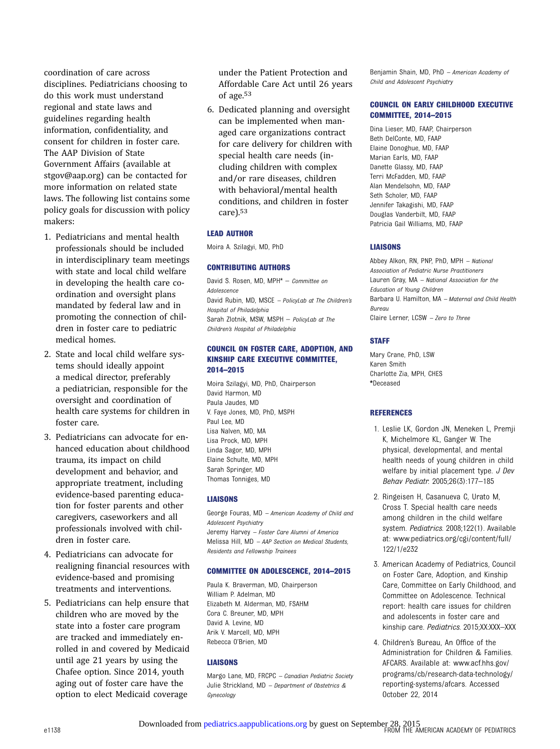coordination of care across disciplines. Pediatricians choosing to do this work must understand regional and state laws and guidelines regarding health information, confidentiality, and consent for children in foster care. The AAP Division of State Government Affairs (available at stgov@aap.org) can be contacted for more information on related state laws. The following list contains some policy goals for discussion with policy makers:

- 1. Pediatricians and mental health professionals should be included in interdisciplinary team meetings with state and local child welfare in developing the health care coordination and oversight plans mandated by federal law and in promoting the connection of children in foster care to pediatric medical homes.
- 2. State and local child welfare systems should ideally appoint a medical director, preferably a pediatrician, responsible for the oversight and coordination of health care systems for children in foster care.
- 3. Pediatricians can advocate for enhanced education about childhood trauma, its impact on child development and behavior, and appropriate treatment, including evidence-based parenting education for foster parents and other caregivers, caseworkers and all professionals involved with children in foster care.
- 4. Pediatricians can advocate for realigning financial resources with evidence-based and promising treatments and interventions.
- 5. Pediatricians can help ensure that children who are moved by the state into a foster care program are tracked and immediately enrolled in and covered by Medicaid until age 21 years by using the Chafee option. Since 2014, youth aging out of foster care have the option to elect Medicaid coverage

under the Patient Protection and Affordable Care Act until 26 years of age.53

6. Dedicated planning and oversight can be implemented when managed care organizations contract for care delivery for children with special health care needs (including children with complex and/or rare diseases, children with behavioral/mental health conditions, and children in foster care).53

#### LEAD AUTHOR

Moira A. Szilagyi, MD, PhD

#### CONTRIBUTING AUTHORS

David S. Rosen, MD, MPH<sup>\*</sup> - Committee on Adolescence David Rubin, MD, MSCE – PolicyLab at The Children's Hospital of Philadelphia Sarah Zlotnik, MSW, MSPH - PolicyLab at The Children's Hospital of Philadelphia

#### COUNCIL ON FOSTER CARE, ADOPTION, AND KINSHIP CARE EXECUTIVE COMMITTEE, 2014–2015

Moira Szilagyi, MD, PhD, Chairperson David Harmon, MD Paula Jaudes, MD V. Faye Jones, MD, PhD, MSPH Paul Lee, MD Lisa Nalven, MD, MA Lisa Prock, MD, MPH Linda Sagor, MD, MPH Elaine Schulte, MD, MPH Sarah Springer, MD Thomas Tonniges, MD

#### LIAISONS

George Fouras, MD – American Academy of Child and Adolescent Psychiatry Jeremy Harvey – Foster Care Alumni of America Melissa Hill, MD – AAP Section on Medical Students, Residents and Fellowship Trainees

#### COMMITTEE ON ADOLESCENCE, 2014–2015

Paula K. Braverman, MD, Chairperson William P. Adelman, MD Elizabeth M. Alderman, MD, FSAHM Cora C. Breuner, MD, MPH David A. Levine, MD Arik V. Marcell, MD, MPH Rebecca O'Brien, MD

#### LIAISONS

Margo Lane, MD, FRCPC - Canadian Pediatric Society Julie Strickland, MD – Department of Obstetrics & Gynecology

Benjamin Shain, MD, PhD – American Academy of Child and Adolescent Psychiatry

#### COUNCIL ON EARLY CHILDHOOD EXECUTIVE COMMITTEE, 2014–2015

Dina Lieser, MD, FAAP, Chairperson Beth DelConte, MD, FAAP Elaine Donoghue, MD, FAAP Marian Earls, MD, FAAP Danette Glassy, MD, FAAP Terri McFadden, MD, FAAP Alan Mendelsohn, MD, FAAP Seth Scholer, MD, FAAP Jennifer Takagishi, MD, FAAP Douglas Vanderbilt, MD, FAAP Patricia Gail Williams, MD, FAAP

#### LIAISONS

Abbey Alkon, RN, PNP, PhD, MPH – National Association of Pediatric Nurse Practitioners Lauren Gray, MA – National Association for the Education of Young Children Barbara U. Hamilton, MA – Maternal and Child Health Bureau Claire Lerner, LCSW – Zero to Three

#### **STAFF**

Mary Crane, PhD, LSW Karen Smith Charlotte Zia, MPH, CHES \*Deceased

#### **REFERENCES**

- 1. Leslie LK, Gordon JN, Meneken L, Premji K, Michelmore KL, Ganger W. The physical, developmental, and mental health needs of young children in child welfare by initial placement type. J Dev Behav Pediatr. 2005;26(3):177–185
- 2. Ringeisen H, Casanueva C, Urato M, Cross T. Special health care needs among children in the child welfare system. Pediatrics. 2008;122(1). Available at: [www.pediatrics.org/cgi/content/full/](http://www.pediatrics.org/cgi/content/full/122/1/e232) [122/1/e232](http://www.pediatrics.org/cgi/content/full/122/1/e232)
- 3. American Academy of Pediatrics, Council on Foster Care, Adoption, and Kinship Care, Committee on Early Childhood, and Committee on Adolescence. Technical report: health care issues for children and adolescents in foster care and kinship care. Pediatrics. 2015;XX:XXX–XXX
- 4. Children's Bureau, An Office of the Administration for Children & Families. AFCARS. Available at: [www.acf.hhs.gov/](http://www.acf.hhs.gov/programs/cb/research-data-technology/reporting-systems/afcars) [programs/cb/research-data-technology/](http://www.acf.hhs.gov/programs/cb/research-data-technology/reporting-systems/afcars) [reporting-systems/afcars.](http://www.acf.hhs.gov/programs/cb/research-data-technology/reporting-systems/afcars) Accessed October 22, 2014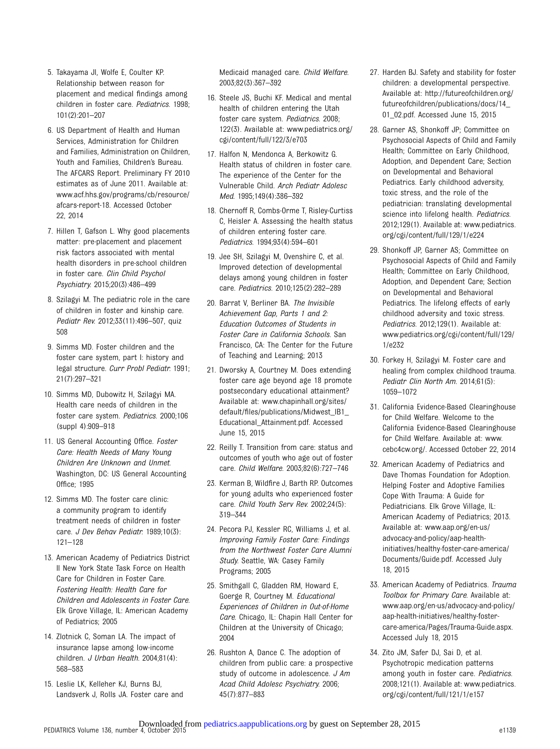- 5. Takayama JI, Wolfe E, Coulter KP. Relationship between reason for placement and medical findings among children in foster care. Pediatrics. 1998; 101(2):201–207
- 6. US Department of Health and Human Services, Administration for Children and Families, Administration on Children, Youth and Families, Children's Bureau. The AFCARS Report. Preliminary FY 2010 estimates as of June 2011. Available at: [www.acf.hhs.gov/programs/cb/resource/](http://www.acf.hhs.gov/programs/cb/resource/afcars-report-18) [afcars-report-18](http://www.acf.hhs.gov/programs/cb/resource/afcars-report-18). Accessed October 22, 2014
- 7. Hillen T, Gafson L. Why good placements matter: pre-placement and placement risk factors associated with mental health disorders in pre-school children in foster care. Clin Child Psychol Psychiatry. 2015;20(3):486–499
- 8. Szilagyi M. The pediatric role in the care of children in foster and kinship care. Pediatr Rev. 2012;33(11):496–507, quiz 508
- 9. Simms MD. Foster children and the foster care system, part I: history and legal structure. Curr Probl Pediatr. 1991; 21(7):297–321
- 10. Simms MD, Dubowitz H, Szilagyi MA. Health care needs of children in the foster care system. Pediatrics. 2000;106 (suppl 4):909–918
- 11. US General Accounting Office. Foster Care: Health Needs of Many Young Children Are Unknown and Unmet. Washington, DC: US General Accounting Office; 1995
- 12. Simms MD. The foster care clinic: a community program to identify treatment needs of children in foster care. J Dev Behav Pediatr. 1989;10(3): 121–128
- 13. American Academy of Pediatrics District II New York State Task Force on Health Care for Children in Foster Care. Fostering Health: Health Care for Children and Adolescents in Foster Care. Elk Grove Village, IL: American Academy of Pediatrics; 2005
- 14. Zlotnick C, Soman LA. The impact of insurance lapse among low-income children. J Urban Health. 2004;81(4): 568–583
- 15. Leslie LK, Kelleher KJ, Burns BJ, Landsverk J, Rolls JA. Foster care and

Medicaid managed care. Child Welfare. 2003;82(3):367–392

- 16. Steele JS, Buchi KF. Medical and mental health of children entering the Utah foster care system. Pediatrics. 2008; 122(3). Available at: [www.pediatrics.org/](http://www.pediatrics.org/cgi/content/full/122/3/e703) [cgi/content/full/122/3/e703](http://www.pediatrics.org/cgi/content/full/122/3/e703)
- 17. Halfon N, Mendonca A, Berkowitz G. Health status of children in foster care. The experience of the Center for the Vulnerable Child. Arch Pediatr Adolesc Med. 1995;149(4):386–392
- 18. Chernoff R, Combs-Orme T, Risley-Curtiss C, Heisler A. Assessing the health status of children entering foster care. Pediatrics. 1994;93(4):594–601
- 19. Jee SH, Szilagyi M, Ovenshire C, et al. Improved detection of developmental delays among young children in foster care. Pediatrics. 2010;125(2):282–289
- 20. Barrat V. Berliner BA. The Invisible Achievement Gap, Parts 1 and 2: Education Outcomes of Students in Foster Care in California Schools. San Francisco, CA: The Center for the Future of Teaching and Learning; 2013
- 21. Dworsky A, Courtney M. Does extending foster care age beyond age 18 promote postsecondary educational attainment? Available at: [www.chapinhall.org/sites/](http://www.chapinhall.org/sites/default/files/publications/Midwest_IB1_Educational_Attainment.pdf) default/fi[les/publications/Midwest\\_IB1\\_](http://www.chapinhall.org/sites/default/files/publications/Midwest_IB1_Educational_Attainment.pdf) [Educational\\_Attainment.pdf.](http://www.chapinhall.org/sites/default/files/publications/Midwest_IB1_Educational_Attainment.pdf) Accessed June 15, 2015
- 22. Reilly T. Transition from care: status and outcomes of youth who age out of foster care. Child Welfare. 2003;82(6):727–746
- 23. Kerman B, Wildfire J, Barth RP. Outcomes for young adults who experienced foster care. Child Youth Serv Rev. 2002;24(5): 319–344
- 24. Pecora PJ, Kessler RC, Williams J, et al. Improving Family Foster Care: Findings from the Northwest Foster Care Alumni Study. Seattle, WA: Casey Family Programs; 2005
- 25. Smithgall C, Gladden RM, Howard E, Goerge R, Courtney M. Educational Experiences of Children in Out-of-Home Care. Chicago, IL: Chapin Hall Center for Children at the University of Chicago; 2004
- 26. Rushton A, Dance C. The adoption of children from public care: a prospective study of outcome in adolescence. J Am Acad Child Adolesc Psychiatry. 2006; 45(7):877–883
- 27. Harden BJ. Safety and stability for foster children: a developmental perspective. Available at: [http://futureofchildren.org/](http://futureofchildren.org/futureofchildren/publications/docs/14_01_02.pdf) [futureofchildren/publications/docs/14\\_](http://futureofchildren.org/futureofchildren/publications/docs/14_01_02.pdf) [01\\_02.pdf](http://futureofchildren.org/futureofchildren/publications/docs/14_01_02.pdf). Accessed June 15, 2015
- 28. Garner AS, Shonkoff JP; Committee on Psychosocial Aspects of Child and Family Health; Committee on Early Childhood, Adoption, and Dependent Care; Section on Developmental and Behavioral Pediatrics. Early childhood adversity, toxic stress, and the role of the pediatrician: translating developmental science into lifelong health. Pediatrics. 2012;129(1). Available at: [www.pediatrics.](http://www.pediatrics.org/cgi/content/full/129/1/e224) [org/cgi/content/full/129/1/e224](http://www.pediatrics.org/cgi/content/full/129/1/e224)
- 29. Shonkoff JP, Garner AS; Committee on Psychosocial Aspects of Child and Family Health; Committee on Early Childhood, Adoption, and Dependent Care; Section on Developmental and Behavioral Pediatrics. The lifelong effects of early childhood adversity and toxic stress. Pediatrics. 2012;129(1). Available at: [www.pediatrics.org/cgi/content/full/129/](http://www.pediatrics.org/cgi/content/full/129/1/e232) [1/e232](http://www.pediatrics.org/cgi/content/full/129/1/e232)
- 30. Forkey H, Szilagyi M. Foster care and healing from complex childhood trauma. Pediatr Clin North Am. 2014;61(5): 1059–1072
- 31. California Evidence-Based Clearinghouse for Child Welfare. Welcome to the California Evidence-Based Clearinghouse for Child Welfare. Available at: [www.](http://www.cebc4cw.org/) [cebc4cw.org/](http://www.cebc4cw.org/). Accessed October 22, 2014
- 32. American Academy of Pediatrics and Dave Thomas Foundation for Adoption. Helping Foster and Adoptive Families Cope With Trauma: A Guide for Pediatricians. Elk Grove Village, IL: American Academy of Pediatrics; 2013. Available at: [www.aap.org/en-us/](http://www.aap.org/en-us/advocacy-and-policy/aap-health-initiatives/healthy-foster-care-america/Documents/Guide.pdf) [advocacy-and-policy/aap-health](http://www.aap.org/en-us/advocacy-and-policy/aap-health-initiatives/healthy-foster-care-america/Documents/Guide.pdf)[initiatives/healthy-foster-care-america/](http://www.aap.org/en-us/advocacy-and-policy/aap-health-initiatives/healthy-foster-care-america/Documents/Guide.pdf) [Documents/Guide.pdf.](http://www.aap.org/en-us/advocacy-and-policy/aap-health-initiatives/healthy-foster-care-america/Documents/Guide.pdf) Accessed July 18, 2015
- 33. American Academy of Pediatrics. Trauma Toolbox for Primary Care. Available at: [www.aap.org/en-us/advocacy-and-policy/](http://www.aap.org/en-us/advocacy-and-policy/aap-health-initiatives/healthy-foster-care-america/Pages/Trauma-Guide.aspx) [aap-health-initiatives/healthy-foster](http://www.aap.org/en-us/advocacy-and-policy/aap-health-initiatives/healthy-foster-care-america/Pages/Trauma-Guide.aspx)[care-america/Pages/Trauma-Guide.aspx](http://www.aap.org/en-us/advocacy-and-policy/aap-health-initiatives/healthy-foster-care-america/Pages/Trauma-Guide.aspx). Accessed July 18, 2015
- 34. Zito JM, Safer DJ, Sai D, et al. Psychotropic medication patterns among youth in foster care. Pediatrics. 2008;121(1). Available at: [www.pediatrics.](http://www.pediatrics.org/cgi/content/full/121/1/e157) [org/cgi/content/full/121/1/e157](http://www.pediatrics.org/cgi/content/full/121/1/e157)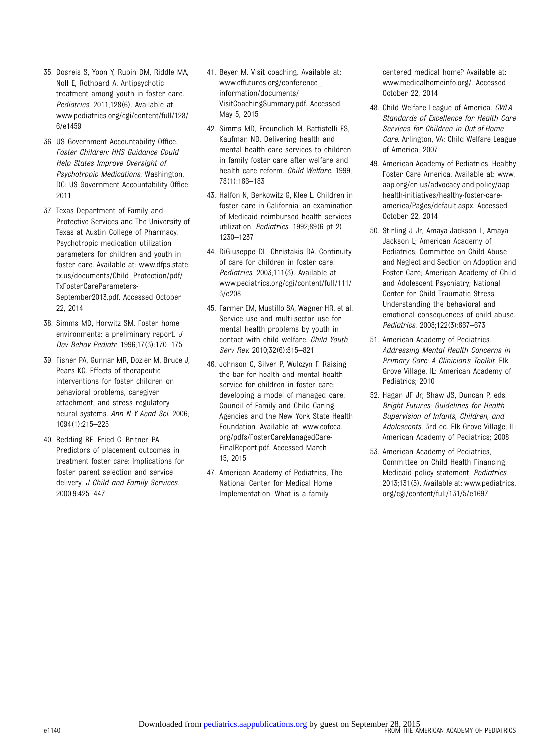- 35. Dosreis S, Yoon Y, Rubin DM, Riddle MA, Noll E, Rothbard A. Antipsychotic treatment among youth in foster care. Pediatrics. 2011;128(6). Available at: [www.pediatrics.org/cgi/content/full/128/](http://www.pediatrics.org/cgi/content/full/128/6/e1459) [6/e1459](http://www.pediatrics.org/cgi/content/full/128/6/e1459)
- 36. US Government Accountability Office. Foster Children: HHS Guidance Could Help States Improve Oversight of Psychotropic Medications. Washington, DC: US Government Accountability Office; 2011
- 37. Texas Department of Family and Protective Services and The University of Texas at Austin College of Pharmacy. Psychotropic medication utilization parameters for children and youth in foster care. Available at: [www.dfps.state.](http://www.dfps.state.tx.us/documents/Child_Protection/pdf/TxFosterCareParameters-September2013.pdf) [tx.us/documents/Child\\_Protection/pdf/](http://www.dfps.state.tx.us/documents/Child_Protection/pdf/TxFosterCareParameters-September2013.pdf) [TxFosterCareParameters-](http://www.dfps.state.tx.us/documents/Child_Protection/pdf/TxFosterCareParameters-September2013.pdf)[September2013.pdf](http://www.dfps.state.tx.us/documents/Child_Protection/pdf/TxFosterCareParameters-September2013.pdf). Accessed October 22, 2014
- 38. Simms MD, Horwitz SM. Foster home environments: a preliminary report. J Dev Behav Pediatr. 1996;17(3):170–175
- 39. Fisher PA, Gunnar MR, Dozier M, Bruce J, Pears KC. Effects of therapeutic interventions for foster children on behavioral problems, caregiver attachment, and stress regulatory neural systems. Ann N Y Acad Sci. 2006; 1094(1):215–225
- 40. Redding RE, Fried C, Britner PA. Predictors of placement outcomes in treatment foster care: Implications for foster parent selection and service delivery. J Child and Family Services. 2000;9:425–447
- 41. Beyer M. Visit coaching. Available at: [www.cffutures.org/conference\\_](http://www.cffutures.org/conference_information/documents/VisitCoachingSummary.pdf) [information/documents/](http://www.cffutures.org/conference_information/documents/VisitCoachingSummary.pdf) [VisitCoachingSummary.pdf.](http://www.cffutures.org/conference_information/documents/VisitCoachingSummary.pdf) Accessed May 5, 2015
- 42. Simms MD, Freundlich M, Battistelli ES, Kaufman ND. Delivering health and mental health care services to children in family foster care after welfare and health care reform. Child Welfare. 1999; 78(1):166–183
- 43. Halfon N, Berkowitz G, Klee L. Children in foster care in California: an examination of Medicaid reimbursed health services utilization. Pediatrics. 1992;89(6 pt 2): 1230–1237
- 44. DiGiuseppe DL, Christakis DA. Continuity of care for children in foster care. Pediatrics. 2003;111(3). Available at: [www.pediatrics.org/cgi/content/full/111/](http://www.pediatrics.org/cgi/content/full/111/3/e208) [3/e208](http://www.pediatrics.org/cgi/content/full/111/3/e208)
- 45. Farmer EM, Mustillo SA, Wagner HR, et al. Service use and multi-sector use for mental health problems by youth in contact with child welfare. Child Youth Serv Rev. 2010;32(6):815–821
- 46. Johnson C, Silver P, Wulczyn F. Raising the bar for health and mental health service for children in foster care: developing a model of managed care. Council of Family and Child Caring Agencies and the New York State Health Foundation. Available at: [www.cofcca.](http://www.cofcca.org/pdfs/FosterCareManagedCare-FinalReport.pdf) [org/pdfs/FosterCareManagedCare-](http://www.cofcca.org/pdfs/FosterCareManagedCare-FinalReport.pdf)[FinalReport.pdf.](http://www.cofcca.org/pdfs/FosterCareManagedCare-FinalReport.pdf) Accessed March 15, 2015
- 47. American Academy of Pediatrics, The National Center for Medical Home Implementation. What is a family-

centered medical home? Available at: [www.medicalhomeinfo.org/](http://www.medicalhomeinfo.org/). Accessed October 22, 2014

- 48. Child Welfare League of America. CWLA Standards of Excellence for Health Care Services for Children in Out-of-Home Care. Arlington, VA: Child Welfare League of America; 2007
- 49. American Academy of Pediatrics. Healthy Foster Care America. Available at: [www.](http://www.aap.org/en-us/advocacy-and-policy/aap-health-initiatives/healthy-foster-care-america/Pages/default.aspx.) [aap.org/en-us/advocacy-and-policy/aap](http://www.aap.org/en-us/advocacy-and-policy/aap-health-initiatives/healthy-foster-care-america/Pages/default.aspx.)[health-initiatives/healthy-foster-care](http://www.aap.org/en-us/advocacy-and-policy/aap-health-initiatives/healthy-foster-care-america/Pages/default.aspx.)[america/Pages/default.aspx.](http://www.aap.org/en-us/advocacy-and-policy/aap-health-initiatives/healthy-foster-care-america/Pages/default.aspx.) Accessed October 22, 2014
- 50. Stirling J Jr, Amaya-Jackson L, Amaya-Jackson L; American Academy of Pediatrics; Committee on Child Abuse and Neglect and Section on Adoption and Foster Care; American Academy of Child and Adolescent Psychiatry; National Center for Child Traumatic Stress. Understanding the behavioral and emotional consequences of child abuse. Pediatrics. 2008;122(3):667–673
- 51. American Academy of Pediatrics. Addressing Mental Health Concerns in Primary Care: A Clinician's Toolkit. Elk Grove Village, IL: American Academy of Pediatrics; 2010
- 52. Hagan JF Jr, Shaw JS, Duncan P, eds. Bright Futures: Guidelines for Health Supervision of Infants, Children, and Adolescents. 3rd ed. Elk Grove Village, IL: American Academy of Pediatrics; 2008
- 53. American Academy of Pediatrics, Committee on Child Health Financing. Medicaid policy statement. Pediatrics. 2013;131(5). Available at: [www.pediatrics.](http://www.pediatrics.org/cgi/content/full/131/5/e1697) [org/cgi/content/full/131/5/e1697](http://www.pediatrics.org/cgi/content/full/131/5/e1697)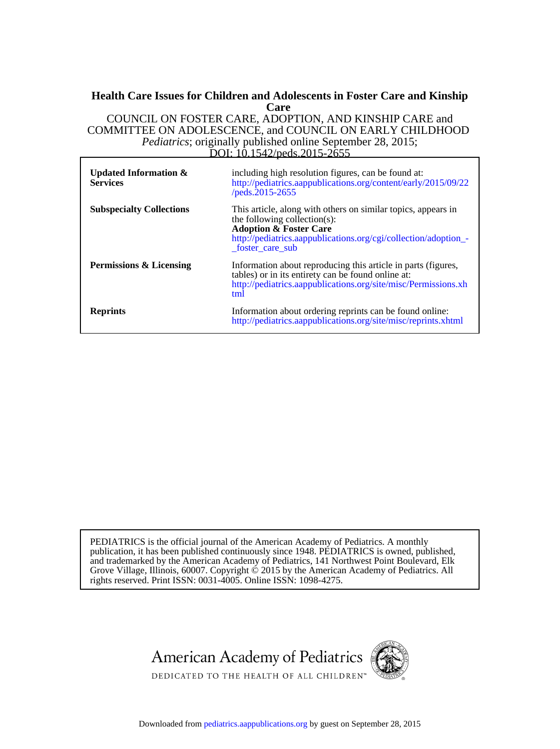### COUNCIL ON FOSTER CARE, ADOPTION, AND KINSHIP CARE and **Care Health Care Issues for Children and Adolescents in Foster Care and Kinship**

DOI: 10.1542/peds. 2015-2655 *Pediatrics*; originally published online September 28, 2015; COMMITTEE ON ADOLESCENCE, and COUNCIL ON EARLY CHILDHOOD

| Updated Information $\&$<br><b>Services</b> | including high resolution figures, can be found at:<br>http://pediatrics.aappublications.org/content/early/2015/09/22<br>/peds.2015-2655                                                                                 |
|---------------------------------------------|--------------------------------------------------------------------------------------------------------------------------------------------------------------------------------------------------------------------------|
| <b>Subspecialty Collections</b>             | This article, along with others on similar topics, appears in<br>the following collection(s):<br><b>Adoption &amp; Foster Care</b><br>http://pediatrics.aappublications.org/cgi/collection/adoption_-<br>foster care sub |
| <b>Permissions &amp; Licensing</b>          | Information about reproducing this article in parts (figures,<br>tables) or in its entirety can be found online at:<br>http://pediatrics.aappublications.org/site/misc/Permissions.xh<br>tml                             |
| <b>Reprints</b>                             | Information about ordering reprints can be found online:<br>http://pediatrics.aappublications.org/site/misc/reprints.xhtml                                                                                               |

rights reserved. Print ISSN: 0031-4005. Online ISSN: 1098-4275. Grove Village, Illinois, 60007. Copyright © 2015 by the American Academy of Pediatrics. All and trademarked by the American Academy of Pediatrics, 141 Northwest Point Boulevard, Elk publication, it has been published continuously since 1948. PEDIATRICS is owned, published, PEDIATRICS is the official journal of the American Academy of Pediatrics. A monthly



Downloaded from [pediatrics.aappublications.org](http://pediatrics.aappublications.org/) by guest on September 28, 2015